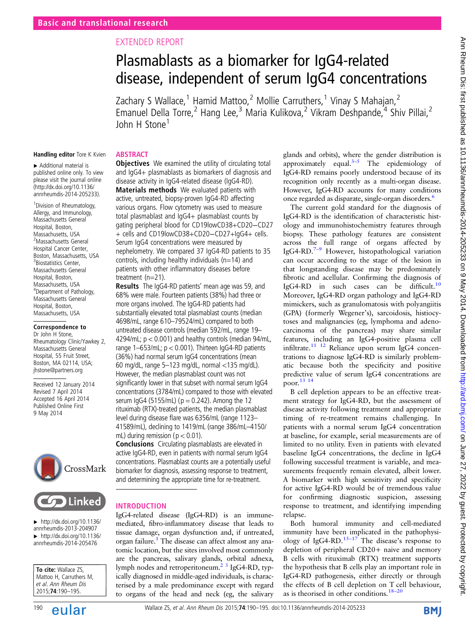# EXTENDED REPORT

# Plasmablasts as a biomarker for IgG4-related disease, independent of serum IgG4 concentrations

Zachary S Wallace,<sup>1</sup> Hamid Mattoo,<sup>2</sup> Mollie Carruthers,<sup>1</sup> Vinay S Mahajan,<sup>2</sup> Emanuel Della Torre,<sup>2</sup> Hang Lee,<sup>3</sup> Maria Kulikova,<sup>2</sup> Vikram Deshpande,<sup>4</sup> Shiv Pillai,<sup>2</sup> John H Stone<sup>1</sup>

#### Handling editor Tore K Kvien **ABSTRACT**

▸ Additional material is published online only. To view please visit the journal online [\(http://dx.doi.org/10.1136/](http://dx.doi.org/10.1136/annrheumdis-2014-205233) [annrheumdis-2014-205233\)](http://dx.doi.org/10.1136/annrheumdis-2014-205233).

1 Division of Rheumatology, Allergy, and Immunology, Massachusetts General Hospital, Boston, Massachusetts, USA 2 Massachusetts General Hospital Cancer Center, Boston, Massachusetts, USA <sup>3</sup> Biostatistics Center, Massachusetts General Hospital, Boston, Massachusetts, USA 4 Department of Pathology, Massachusetts General Hospital, Boston, Massachusetts, USA

#### Correspondence to

Dr John H Stone, Rheumatology Clinic/Yawkey 2, Massachusetts General Hospital, 55 Fruit Street, Boston, MA 02114, USA; jhstone@partners.org

Received 12 January 2014 Revised 7 April 2014 Accepted 16 April 2014 Published Online First 9 May 2014





 $\blacktriangleright$  [http://dx.doi.org/10.1136/](http://dx.doi.org/10.1136/annrheumdis-2013-204907) [annrheumdis-2013-204907](http://dx.doi.org/10.1136/annrheumdis-2013-204907)  $\blacktriangleright$  [http://dx.doi.org/10.1136/](http://dx.doi.org/10.1136/annrheumdis-2014-205476) [annrheumdis-2014-205476](http://dx.doi.org/10.1136/annrheumdis-2014-205476)

To cite: Wallace ZS, Mattoo H, Carruthers M, et al. Ann Rheum Dis 2015;74:190–195.

**Objectives** We examined the utility of circulating total and IgG4+ plasmablasts as biomarkers of diagnosis and disease activity in IgG4-related disease (IgG4-RD). **Materials methods** We evaluated patients with active, untreated, biopsy-proven IgG4-RD affecting various organs. Flow cytometry was used to measure total plasmablast and IgG4+ plasmablast counts by gating peripheral blood for CD19lowCD38+CD20−CD27 + cells and CD19lowCD38+CD20−CD27+IgG4+ cells. Serum IgG4 concentrations were measured by nephelometry. We compared 37 IgG4-RD patients to 35 controls, including healthy individuals ( $n=14$ ) and patients with other inflammatory diseases before

treatment (n=21). Results The IgG4-RD patients' mean age was 59, and 68% were male. Fourteen patients (38%) had three or more organs involved. The IgG4-RD patients had substantially elevated total plasmablast counts (median 4698/mL, range 610–79524/mL) compared to both untreated disease controls (median 592/mL, range 19– 4294/mL; p < 0.001) and healthy controls (median 94/mL, range  $1-653/mL$ ;  $p < 0.001$ ). Thirteen IgG4-RD patients (36%) had normal serum IgG4 concentrations (mean 60 mg/dL, range 5–123 mg/dL, normal <135 mg/dL). However, the median plasmablast count was not significantly lower in that subset with normal serum IgG4 concentrations (3784/mL) compared to those with elevated serum  $\log 4$  (5155/mL) ( $p = 0.242$ ). Among the 12 rituximab (RTX)-treated patients, the median plasmablast level during disease flare was 6356/mL (range 1123– 41589/mL), declining to 1419/mL (range 386/mL–4150/ mL) during remission ( $p < 0.01$ ).

Conclusions Circulating plasmablasts are elevated in active IgG4-RD, even in patients with normal serum IgG4 concentrations. Plasmablast counts are a potentially useful biomarker for diagnosis, assessing response to treatment, and determining the appropriate time for re-treatment.

#### INTRODUCTION

IgG4-related disease (IgG4-RD) is an immunemediated, fibro-inflammatory disease that leads to tissue damage, organ dysfunction and, if untreated, organ failure.<sup>1</sup> The disease can affect almost any anatomic location, but the sites involved most commonly are the pancreas, salivary glands, orbital adnexa, lymph nodes and retroperitoneum.<sup>2</sup> <sup>3</sup> IgG4-RD, typically diagnosed in middle-aged individuals, is characterised by a male predominance except with regard to organs of the head and neck (eg, the salivary

glands and orbits), where the gender distribution is approximately equal. $3-5$  $3-5$  The epidemiology of IgG4-RD remains poorly understood because of its recognition only recently as a multi-organ disease. However, IgG4-RD accounts for many conditions once regarded as disparate, single-organ disorders[.6](#page-4-0)

The current gold standard for the diagnosis of IgG4-RD is the identification of characteristic histology and immunohistochemistry features through biopsy. These pathology features are consistent across the full range of organs affected by IgG4-RD.<sup>7–9</sup> However, histopathological variation can occur according to the stage of the lesion in that longstanding disease may be predominately fibrotic and acellular. Confirming the diagnosis of IgG4-RD in such cases can be difficult.[10](#page-4-0) Moreover, IgG4-RD organ pathology and IgG4-RD mimickers, such as granulomatosis with polyangiitis (GPA) (formerly Wegener's), sarcoidosis, histiocytoses and malignancies (eg, lymphoma and adenocarcinoma of the pancreas) may share similar features, including an IgG4-positive plasma cell infiltrate.[11 12](#page-4-0) Reliance upon serum IgG4 concentrations to diagnose IgG4-RD is similarly problematic because both the specificity and positive predictive value of serum IgG4 concentrations are poor.[13 14](#page-4-0)

B cell depletion appears to be an effective treatment strategy for IgG4-RD, but the assessment of disease activity following treatment and appropriate timing of re-treatment remains challenging. In patients with a normal serum IgG4 concentration at baseline, for example, serial measurements are of limited to no utility. Even in patients with elevated baseline IgG4 concentrations, the decline in IgG4 following successful treatment is variable, and measurements frequently remain elevated, albeit lower. A biomarker with high sensitivity and specificity for active IgG4-RD would be of tremendous value for confirming diagnostic suspicion, assessing response to treatment, and identifying impending relapse.

Both humoral immunity and cell-mediated immunity have been implicated in the pathophysi-ology of IgG4-RD.<sup>[15](#page-4-0)–17</sup> The disease's response to depletion of peripheral CD20+ naive and memory B cells with rituximab (RTX) treatment supports the hypothesis that B cells play an important role in IgG4-RD pathogenesis, either directly or through the effects of B cell depletion on T cell behaviour, as is theorised in other conditions. $18-20$  $18-20$ 

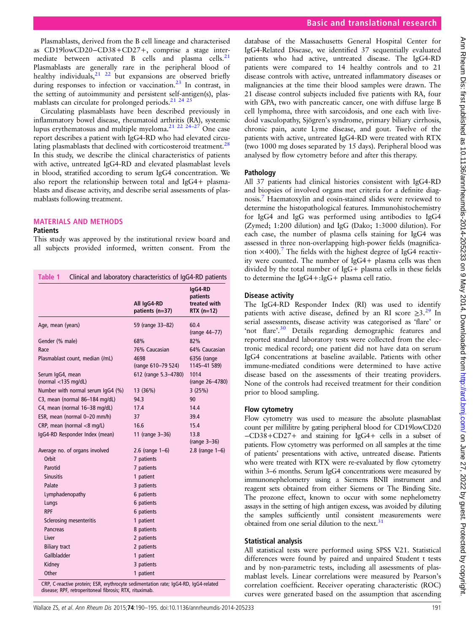Ann Rheum Dis: first published as 10.1136/annheumdis-2014-205233 on 9 May 2014. Downloaded from http://ard.bmj.com/ on June 27, 2022 by guest. Protected by copyright Ann Dis: first published as 10.1136/annrheumdis-2014-205233 on 9 May 2014. Downloaded from <http://ard.bmj.com/> on June 27, 2022 by guest. Protected by copyright.

<span id="page-1-0"></span>Plasmablasts, derived from the B cell lineage and characterised as CD19lowCD20−CD38+CD27+, comprise a stage inter-mediate between activated B cells and plasma cells.<sup>[21](#page-5-0)</sup> Plasmablasts are generally rare in the peripheral blood of healthy individuals, $2^{1/22}$  but expansions are observed briefly during responses to infection or vaccination.<sup>23</sup> In contrast, in the setting of autoimmunity and persistent self-antigen(s), plasmablasts can circulate for prolonged periods.<sup>21</sup> <sup>24</sup> <sup>2</sup>

Circulating plasmablasts have been described previously in inflammatory bowel disease, rheumatoid arthritis (RA), systemic lupus erythematosus and multiple myeloma.[21 22 24](#page-5-0)–<sup>27</sup> One case report describes a patient with IgG4-RD who had elevated circulating plasmablasts that declined with corticosteroid treatment.<sup>28</sup> In this study, we describe the clinical characteristics of patients with active, untreated IgG4-RD and elevated plasmablast levels in blood, stratified according to serum IgG4 concentration. We also report the relationship between total and IgG4+ plasmablasts and disease activity, and describe serial assessments of plasmablasts following treatment.

## MATERIALS AND METHODS

#### **Patients**

This study was approved by the institutional review board and all subjects provided informed, written consent. From the

|                                            |                                | IgG4-RD<br>patients          |
|--------------------------------------------|--------------------------------|------------------------------|
|                                            | All IgG4-RD<br>patients (n=37) | treated with<br>$RTX$ (n=12) |
| Age, mean (years)                          | 59 (range 33-82)               | 60.4<br>(range 44-77)        |
| Gender (% male)                            | 68%                            | 82%                          |
| Race                                       | 76% Caucasian                  | 64% Caucasian                |
| Plasmablast count, median (/mL)            | 4698<br>(range 610-79 524)     | 6356 (range<br>1145-41 589)  |
| Serum IgG4, mean<br>(normal $<$ 135 mg/dL) | 612 (range 5.3-4780)           | 1014<br>(range 26-4780)      |
| Number with normal serum IgG4 (%)          | 13 (36%)                       | 3(25%)                       |
| C3, mean (normal 86-184 mg/dL)             | 94.3                           | 90                           |
| C4, mean (normal 16-38 mg/dL)              | 17.4                           | 14.4                         |
| ESR, mean (normal 0-20 mm/h)               | 37                             | 39.4                         |
| CRP, mean (normal <8 mg/L)                 | 16.6                           | 15.4                         |
| IgG4-RD Responder Index (mean)             | 11 (range 3-36)                | 13.8<br>$(range 3-36)$       |
| Average no. of organs involved             | $2.6$ (range $1-6$ )           | $2.8$ (range $1-6$ )         |
| Orbit                                      | 7 patients                     |                              |
| Parotid                                    | 7 patients                     |                              |
| <b>Sinusitis</b>                           | 1 patient                      |                              |
| Palate                                     | 3 patients                     |                              |
| Lymphadenopathy                            | 6 patients                     |                              |
| Lungs                                      | 6 patients                     |                              |
| <b>RPF</b>                                 | 6 patients                     |                              |
| Sclerosing mesenteritis                    | 1 patient                      |                              |
| Pancreas                                   | 8 patients                     |                              |
| Liver                                      | 2 patients                     |                              |
| <b>Biliary tract</b>                       | 2 patients                     |                              |
| Gallbladder                                | 1 patient                      |                              |
| Kidney                                     | 3 patients                     |                              |
| Other                                      | 1 patient                      |                              |

CRP, C-reactive protein; ESR, erythrocyte sedimentation rate; IgG4-RD, IgG4-related disease; RPF, retroperitoneal fibrosis; RTX, rituximab.

database of the Massachusetts General Hospital Center for IgG4-Related Disease, we identified 37 sequentially evaluated patients who had active, untreated disease. The IgG4-RD patients were compared to 14 healthy controls and to 21 disease controls with active, untreated inflammatory diseases or malignancies at the time their blood samples were drawn. The 21 disease control subjects included five patients with RA, four with GPA, two with pancreatic cancer, one with diffuse large B cell lymphoma, three with sarcoidosis, and one each with livedoid vasculopathy, Sjögren's syndrome, primary biliary cirrhosis, chronic pain, acute Lyme disease, and gout. Twelve of the patients with active, untreated IgG4-RD were treated with RTX (two 1000 mg doses separated by 15 days). Peripheral blood was analysed by flow cytometry before and after this therapy.

# Pathology

All 37 patients had clinical histories consistent with IgG4-RD and biopsies of involved organs met criteria for a definite diagnosis.[7](#page-4-0) Haematoxylin and eosin-stained slides were reviewed to determine the histopathological features. Immunohistochemistry for IgG4 and IgG was performed using antibodies to IgG4 (Zymed; 1:200 dilution) and IgG (Dako; 1:3000 dilution). For each case, the number of plasma cells staining for IgG4 was assessed in three non-overlapping high-power fields (magnification  $\times$ 400).<sup>[7](#page-4-0)</sup> The fields with the highest degree of IgG4 reactivity were counted. The number of IgG4+ plasma cells was then divided by the total number of IgG+ plasma cells in these fields to determine the IgG4+:IgG+ plasma cell ratio.

#### Disease activity

The IgG4-RD Responder Index (RI) was used to identify patients with active disease, defined by an RI score  $\geq 3$ .<sup>[29](#page-5-0)</sup> In serial assessments, disease activity was categorised as 'flare' or 'not flare'.<sup>[30](#page-5-0)</sup> Details regarding demographic features and reported standard laboratory tests were collected from the electronic medical record; one patient did not have data on serum IgG4 concentrations at baseline available. Patients with other immune-mediated conditions were determined to have active disease based on the assessments of their treating providers. None of the controls had received treatment for their condition prior to blood sampling.

#### Flow cytometry

Flow cytometry was used to measure the absolute plasmablast count per millilitre by gating peripheral blood for CD19lowCD20 −CD38+CD27+ and staining for IgG4+ cells in a subset of patients. Flow cytometry was performed on all samples at the time of patients' presentations with active, untreated disease. Patients who were treated with RTX were re-evaluated by flow cytometry within 3–6 months. Serum IgG4 concentrations were measured by immunonephelometry using a Siemens BNII instrument and reagent sets obtained from either Siemens or The Binding Site. The prozone effect, known to occur with some nephelometry assays in the setting of high antigen excess, was avoided by diluting the samples sufficiently until consistent measurements were obtained from one serial dilution to the next.<sup>31</sup>

# Statistical analysis

All statistical tests were performed using SPSS V.21. Statistical differences were found by paired and unpaired Student t tests and by non-parametric tests, including all assessments of plasmablast levels. Linear correlations were measured by Pearson's correlation coefficient. Receiver operating characteristic (ROC) curves were generated based on the assumption that ascending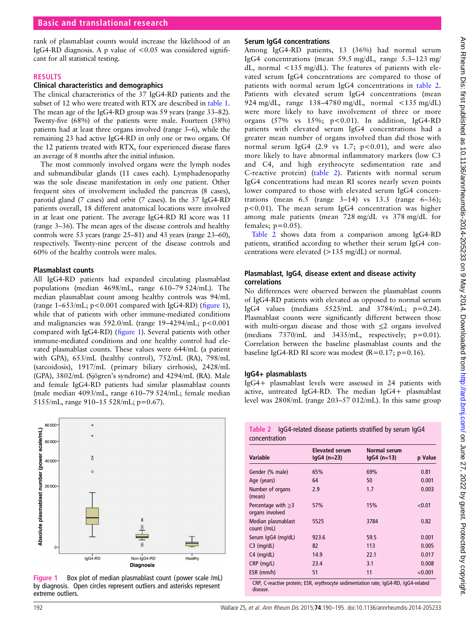rank of plasmablast counts would increase the likelihood of an IgG4-RD diagnosis. A p value of <0.05 was considered significant for all statistical testing.

# RESULTS

#### Clinical characteristics and demographics

The clinical characteristics of the 37 IgG4-RD patients and the subset of 12 who were treated with RTX are described in [table 1](#page-1-0). The mean age of the IgG4-RD group was 59 years (range 33–82). Twenty-five (68%) of the patients were male. Fourteen (38%) patients had at least three organs involved (range 3–6), while the remaining 23 had active IgG4-RD in only one or two organs. Of the 12 patients treated with RTX, four experienced disease flares an average of 8 months after the initial infusion.

The most commonly involved organs were the lymph nodes and submandibular glands (11 cases each). Lymphadenopathy was the sole disease manifestation in only one patient. Other frequent sites of involvement included the pancreas (8 cases), parotid gland (7 cases) and orbit (7 cases). In the 37 IgG4-RD patients overall, 18 different anatomical locations were involved in at least one patient. The average IgG4-RD RI score was 11 (range 3–36). The mean ages of the disease controls and healthy controls were 53 years (range 25–81) and 43 years (range 23–60), respectively. Twenty-nine percent of the disease controls and 60% of the healthy controls were males.

#### Plasmablast counts

All IgG4-RD patients had expanded circulating plasmablast populations (median 4698/mL, range 610–79 524/mL). The median plasmablast count among healthy controls was 94/mL (range  $1-653/mL$ ; p<0.001 compared with IgG4-RD) (figure 1), while that of patients with other immune-mediated conditions and malignancies was  $592.0/\text{mL}$  (range  $19-4294/\text{mL}$ ;  $p < 0.001$ ) compared with IgG4-RD) (figure 1). Several patients with other immune-mediated conditions and one healthy control had elevated plasmablast counts. These values were 644/mL (a patient with GPA), 653/mL (healthy control), 752/mL (RA), 798/mL (sarcoidosis), 1917/mL (primary biliary cirrhosis), 2428/mL (GPA), 3802/mL (Sjögren's syndrome) and 4294/mL (RA). Male and female IgG4-RD patients had similar plasmablast counts (male median 4093/mL, range 610–79 524/mL; female median 5155/mL, range 910–15 528/mL; p=0.67).



Figure 1 Box plot of median plasmablast count (power scale /mL) by diagnosis. Open circles represent outliers and asterisks represent extreme outliers.

# Serum IgG4 concentrations

Among IgG4-RD patients, 13 (36%) had normal serum IgG4 concentrations (mean 59.5 mg/dL, range 5.3–123 mg/ dL, normal <135 mg/dL). The features of patients with elevated serum IgG4 concentrations are compared to those of patients with normal serum IgG4 concentrations in table 2. Patients with elevated serum IgG4 concentrations (mean 924 mg/dL, range 138–4780 mg/dL, normal <135 mg/dL) were more likely to have involvement of three or more organs  $(57\%$  vs  $15\%$ ;  $p < 0.01$ ). In addition, IgG4-RD patients with elevated serum IgG4 concentrations had a greater mean number of organs involved than did those with normal serum IgG4 (2.9 vs 1.7;  $p<0.01$ ), and were also more likely to have abnormal inflammatory markers (low C3 and C4, and high erythrocyte sedimentation rate and C-reactive protein) (table 2). Patients with normal serum IgG4 concentrations had mean RI scores nearly seven points lower compared to those with elevated serum IgG4 concentrations (mean  $6.5$  (range  $3-14$ ) vs  $13.3$  (range  $6-36$ ); p<0.01). The mean serum IgG4 concentration was higher among male patients (mean 728 mg/dL vs 378 mg/dL for females;  $p=0.05$ ).

Table 2 shows data from a comparison among IgG4-RD patients, stratified according to whether their serum IgG4 concentrations were elevated (>135 mg/dL) or normal.

#### Plasmablast, IgG4, disease extent and disease activity correlations

No differences were observed between the plasmablast counts of IgG4-RD patients with elevated as opposed to normal serum IgG4 values (medians  $5525/mL$  and  $3784/mL$ ;  $p=0.24$ ). Plasmablast counts were significantly different between those with multi-organ disease and those with ≤2 organs involved (medians  $7370/mL$  and  $3435/mL$ , respectively;  $p=0.01$ ). Correlation between the baseline plasmablast counts and the baseline IgG4-RD RI score was modest  $(R=0.17; p=0.16)$ .

# IgG4+ plasmablasts

IgG4+ plasmablast levels were assessed in 24 patients with active, untreated IgG4-RD. The median IgG4+ plasmablast level was 2808/mL (range 203–57 012/mL). In this same group

|               | Table 2 IgG4-related disease patients stratified by serum IgG4 |  |  |
|---------------|----------------------------------------------------------------|--|--|
| concentration |                                                                |  |  |

| <b>Variable</b>                                                                     | <b>Elevated serum</b><br>$lgG4(n=23)$ | Normal serum<br>$lgG4$ (n=13) | p Value |  |  |  |
|-------------------------------------------------------------------------------------|---------------------------------------|-------------------------------|---------|--|--|--|
| Gender (% male)                                                                     | 65%                                   | 69%                           | 0.81    |  |  |  |
| Age (years)                                                                         | 64                                    | 50                            | 0.001   |  |  |  |
| Number of organs<br>(mean)                                                          | 2.9                                   | 1.7                           | 0.003   |  |  |  |
| Percentage with $\geq$ 3<br>organs involved                                         | 57%                                   | 15%                           | < 0.01  |  |  |  |
| Median plasmablast<br>count (/mL)                                                   | 5525                                  | 3784                          | 0.82    |  |  |  |
| Serum IgG4 (mg/dL)                                                                  | 923.6                                 | 59.5                          | 0.001   |  |  |  |
| $C3$ (mg/dL)                                                                        | 82                                    | 113                           | 0.005   |  |  |  |
| $C4$ (mg/dL)                                                                        | 14.9                                  | 22.1                          | 0.017   |  |  |  |
| $CRP$ (mg/L)                                                                        | 23.4                                  | 3.1                           | 0.008   |  |  |  |
| $ESR$ (mm/h)                                                                        | 51                                    | 11                            | < 0.001 |  |  |  |
| CRP, C-reactive protein; ESR, erythrocyte sedimentation rate; IgG4-RD, IgG4-related |                                       |                               |         |  |  |  |

disease.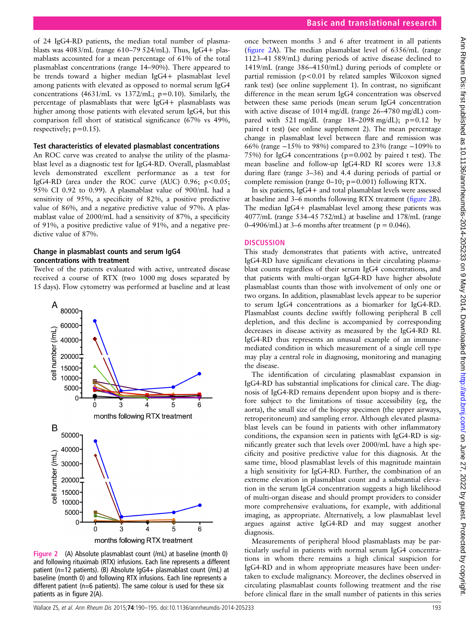of 24 IgG4-RD patients, the median total number of plasmablasts was  $4083/mL$  (range  $610-79524/mL$ ). Thus, IgG4+ plasmablasts accounted for a mean percentage of 61% of the total plasmablast concentrations (range 14–90%). There appeared to be trends toward a higher median IgG4+ plasmablast level among patients with elevated as opposed to normal serum IgG4 concentrations  $(4631/mL$  vs  $1372/mL$ ;  $p=0.10$ ). Similarly, the percentage of plasmablasts that were IgG4+ plasmablasts was higher among those patients with elevated serum IgG4, but this comparison fell short of statistical significance (67% vs 49%, respectively;  $p=0.15$ ).

#### Test characteristics of elevated plasmablast concentrations

An ROC curve was created to analyse the utility of the plasmablast level as a diagnostic test for IgG4-RD. Overall, plasmablast levels demonstrated excellent performance as a test for IgG4-RD (area under the ROC curve (AUC)  $0.96$ ;  $p < 0.05$ ; 95% CI 0.92 to 0.99). A plasmablast value of 900/mL had a sensitivity of 95%, a specificity of 82%, a positive predictive value of 86%, and a negative predictive value of 97%. A plasmablast value of 2000/mL had a sensitivity of 87%, a specificity of 91%, a positive predictive value of 91%, and a negative predictive value of 87%.

#### Change in plasmablast counts and serum IgG4 concentrations with treatment

Twelve of the patients evaluated with active, untreated disease received a course of RTX (two 1000 mg doses separated by 15 days). Flow cytometry was performed at baseline and at least



Figure 2 (A) Absolute plasmablast count (/mL) at baseline (month 0) and following rituximab (RTX) infusions. Each line represents a different patient (n=12 patients). (B) Absolute IgG4+ plasmablast count (/mL) at baseline (month 0) and following RTX infusions. Each line represents a different patient (n=6 patients). The same colour is used for these six patients as in figure 2(A).

once between months 3 and 6 after treatment in all patients (figure 2A). The median plasmablast level of 6356/mL (range 1123–41 589/mL) during periods of active disease declined to 1419/mL (range 386–4150/mL) during periods of complete or partial remission ( $p < 0.01$  by related samples Wilcoxon signed rank test) (see online supplement 1). In contrast, no significant difference in the mean serum IgG4 concentration was observed between these same periods (mean serum IgG4 concentration with active disease of 1014 mg/dL (range 26–4780 mg/dL) compared with 521 mg/dL (range  $18-2098$  mg/dL); p=0.12 by paired t test) (see online supplement 2). The mean percentage change in plasmablast level between flare and remission was 66% (range −15% to 98%) compared to 23% (range −109% to 75%) for IgG4 concentrations (p=0.002 by paired t test). The mean baseline and follow-up IgG4-RD RI scores were 13.8 during flare (range 3–36) and 4.4 during periods of partial or complete remission (range  $0-10$ ;  $p=0.001$ ) following RTX.

In six patients, IgG4+ and total plasmablast levels were assessed at baseline and 3–6 months following RTX treatment (figure 2B). The median IgG4+ plasmablast level among these patients was 4077/mL (range 534–45 752/mL) at baseline and 178/mL (range 0–4906/mL) at 3–6 months after treatment ( $p = 0.046$ ).

### **DISCUSSION**

This study demonstrates that patients with active, untreated IgG4-RD have significant elevations in their circulating plasmablast counts regardless of their serum IgG4 concentrations, and that patients with multi-organ IgG4-RD have higher absolute plasmablast counts than those with involvement of only one or two organs. In addition, plasmablast levels appear to be superior to serum IgG4 concentrations as a biomarker for IgG4-RD. Plasmablast counts decline swiftly following peripheral B cell depletion, and this decline is accompanied by corresponding decreases in disease activity as measured by the IgG4-RD RI. IgG4-RD thus represents an unusual example of an immunemediated condition in which measurement of a single cell type may play a central role in diagnosing, monitoring and managing the disease.

The identification of circulating plasmablast expansion in IgG4-RD has substantial implications for clinical care. The diagnosis of IgG4-RD remains dependent upon biopsy and is therefore subject to the limitations of tissue accessibility (eg, the aorta), the small size of the biopsy specimen (the upper airways, retroperitoneum) and sampling error. Although elevated plasmablast levels can be found in patients with other inflammatory conditions, the expansion seen in patients with IgG4-RD is significantly greater such that levels over 2000/mL have a high specificity and positive predictive value for this diagnosis. At the same time, blood plasmablast levels of this magnitude maintain a high sensitivity for IgG4-RD. Further, the combination of an extreme elevation in plasmablast count and a substantial elevation in the serum IgG4 concentration suggests a high likelihood of multi-organ disease and should prompt providers to consider more comprehensive evaluations, for example, with additional imaging, as appropriate. Alternatively, a low plasmablast level argues against active IgG4-RD and may suggest another diagnosis.

Measurements of peripheral blood plasmablasts may be particularly useful in patients with normal serum IgG4 concentrations in whom there remains a high clinical suspicion for IgG4-RD and in whom appropriate measures have been undertaken to exclude malignancy. Moreover, the declines observed in circulating plasmablast counts following treatment and the rise before clinical flare in the small number of patients in this series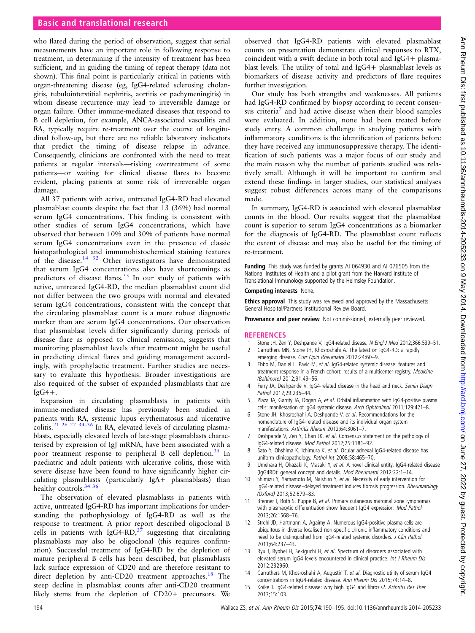# <span id="page-4-0"></span>Basic and translational research

who flared during the period of observation, suggest that serial measurements have an important role in following response to treatment, in determining if the intensity of treatment has been sufficient, and in guiding the timing of repeat therapy (data not shown). This final point is particularly critical in patients with organ-threatening disease (eg, IgG4-related sclerosing cholangitis, tubulointerstitial nephritis, aortitis or pachymeningitis) in whom disease recurrence may lead to irreversible damage or organ failure. Other immune-mediated diseases that respond to B cell depletion, for example, ANCA-associated vasculitis and RA, typically require re-treatment over the course of longitudinal follow-up, but there are no reliable laboratory indicators that predict the timing of disease relapse in advance. Consequently, clinicians are confronted with the need to treat patients at regular intervals—risking overtreatment of some patients—or waiting for clinical disease flares to become evident, placing patients at some risk of irreversible organ damage.

All 37 patients with active, untreated IgG4-RD had elevated plasmablast counts despite the fact that 13 (36%) had normal serum IgG4 concentrations. This finding is consistent with other studies of serum IgG4 concentrations, which have observed that between 10% and 30% of patients have normal serum IgG4 concentrations even in the presence of classic histopathological and immunohistochemical staining features of the disease.14 [32](#page-5-0) Other investigators have demonstrated that serum IgG4 concentrations also have shortcomings as predictors of disease flares.<sup>[33](#page-5-0)</sup> In our study of patients with active, untreated IgG4-RD, the median plasmablast count did not differ between the two groups with normal and elevated serum IgG4 concentrations, consistent with the concept that the circulating plasmablast count is a more robust diagnostic marker than are serum IgG4 concentrations. Our observation that plasmablast levels differ significantly during periods of disease flare as opposed to clinical remission, suggests that monitoring plasmablast levels after treatment might be useful in predicting clinical flares and guiding management accordingly, with prophylactic treatment. Further studies are necessary to evaluate this hypothesis. Broader investigations are also required of the subset of expanded plasmablasts that are  $IgG4+$ .

Expansion in circulating plasmablasts in patients with immune-mediated disease has previously been studied in patients with RA, systemic lupus erythematosus and ulcerative colitis.<sup>[21 26 27 34](#page-5-0)–36</sup> In RA, elevated levels of circulating plasmablasts, especially elevated levels of late-stage plasmablasts characterised by expression of IgJ mRNA, have been associated with a poor treatment response to peripheral B cell depletion.<sup>[35](#page-5-0)</sup> In paediatric and adult patients with ulcerative colitis, those with severe disease have been found to have significantly higher circulating plasmablasts (particularly IgA+ plasmablasts) than healthy controls.<sup>[34 36](#page-5-0)</sup>

The observation of elevated plasmablasts in patients with active, untreated IgG4-RD has important implications for understanding the pathophysiology of IgG4-RD as well as the response to treatment. A prior report described oligoclonal B cells in patients with IgG4-RD, $37$  suggesting that circulating plasmablasts may also be oligoclonal (this requires confirmation). Successful treatment of IgG4-RD by the depletion of mature peripheral B cells has been described, but plasmablasts lack surface expression of CD20 and are therefore resistant to direct depletion by anti-CD20 treatment approaches.<sup>18</sup> The steep decline in plasmablast counts after anti-CD20 treatment likely stems from the depletion of CD20+ precursors. We

observed that IgG4-RD patients with elevated plasmablast counts on presentation demonstrate clinical responses to RTX, coincident with a swift decline in both total and IgG4+ plasmablast levels. The utility of total and IgG4+ plasmablast levels as biomarkers of disease activity and predictors of flare requires further investigation.

Our study has both strengths and weaknesses. All patients had IgG4-RD confirmed by biopsy according to recent consensus criteria<sup>7</sup> and had active disease when their blood samples were evaluated. In addition, none had been treated before study entry. A common challenge in studying patients with inflammatory conditions is the identification of patients before they have received any immunosuppressive therapy. The identification of such patients was a major focus of our study and the main reason why the number of patients studied was relatively small. Although it will be important to confirm and extend these findings in larger studies, our statistical analyses suggest robust differences across many of the comparisons made.

In summary, IgG4-RD is associated with elevated plasmablast counts in the blood. Our results suggest that the plasmablast count is superior to serum IgG4 concentrations as a biomarker for the diagnosis of IgG4-RD. The plasmablast count reflects the extent of disease and may also be useful for the timing of re-treatment.

Funding This study was funded by grants AI 064930 and AI 076505 from the National Institutes of Health and a pilot grant from the Harvard Institute of Translational Immunology supported by the Helmsley Foundation.

#### Competing interests None.

Ethics approval This study was reviewed and approved by the Massachusetts General Hospital/Partners Institutional Review Board.

Provenance and peer review Not commissioned; externally peer reviewed.

#### **REFERENCES**

- 1 Stone JH, Zen Y, Deshpande V. IgG4-related disease. N Engl J Med 2012;366:539-51.
- 2 Carruthers MN, Stone JH, Khosroshahi A. The latest on IgG4-RD: a rapidly emerging disease. Curr Opin Rheumatol 2012;24:60-9.
- 3 Ebbo M, Daniel L, Pavic M, et al. IgG4-related systemic disease: features and treatment response in a French cohort: results of a multicenter registry. Medicine (Baltimore) 2012;91:49–56.
- 4 Ferry JA, Deshpande V. IgG4-related disease in the head and neck. Semin Diagn Pathol 2012:29:235-44
- Plaza JA, Garrity JA, Dogan A, et al. Orbital inflammation with IgG4-positive plasma cells: manifestation of IgG4 systemic disease. Arch Ophthalmol 2011;129:421–8.
- 6 Stone JH, Khosroshahi A, Deshpande V, et al. Recommendations for the nomenclature of IgG4-related disease and its individual organ system manifestations. Arthritis Rheum 2012;64:3061–7.
- 7 Deshpande V, Zen Y, Chan JK, et al. Consensus statement on the pathology of IgG4-related disease. Mod Pathol 2012;25:1181–92.
- 8 Sato Y, Ohshima K, Ichimura K, et al. Ocular adnexal IgG4-related disease has uniform clinicopathology. Pathol Int 2008;58:465–70.
- 9 Umehara H, Okazaki K, Masaki Y, et al. A novel clinical entity, IgG4-related disease (IgG4RD): general concept and details. Mod Rheumatol 2012;22:1–14.
- 10 Shimizu Y, Yamamoto M, Naishiro Y, et al. Necessity of early intervention for IgG4-related disease–delayed treatment induces fibrosis progression. Rheumatology (Oxford) 2013;52:679–83.
- 11 Brenner I, Roth S, Puppe B, et al. Primary cutaneous marginal zone lymphomas with plasmacytic differentiation show frequent IgG4 expression. Mod Pathol 2013;26:1568–76.
- 12 Strehl JD, Hartmann A, Agaimy A. Numerous IgG4-positive plasma cells are ubiquitous in diverse localised non-specific chronic inflammatory conditions and need to be distinguished from IgG4-related systemic disorders. J Clin Pathol 2011;64:237–43.
- 13 Ryu J, Ryohei H, Sekiguchi H, et al. Spectrum of disorders associated with elevated serum IgG4 levels encountered in clinical practice. Int J Rheum Dis 2012:232960.
- 14 Carruthers M, Khosroshahi A, Augustin T, et al. Diagnostic utility of serum IgG4 concentrations in IgG4-related disease. Ann Rheum Dis 2015;74:14–8.
- 15 Koike T. IgG4-related disease: why high IgG4 and fibrosis?. Arthritis Res Ther 2013;15:103.